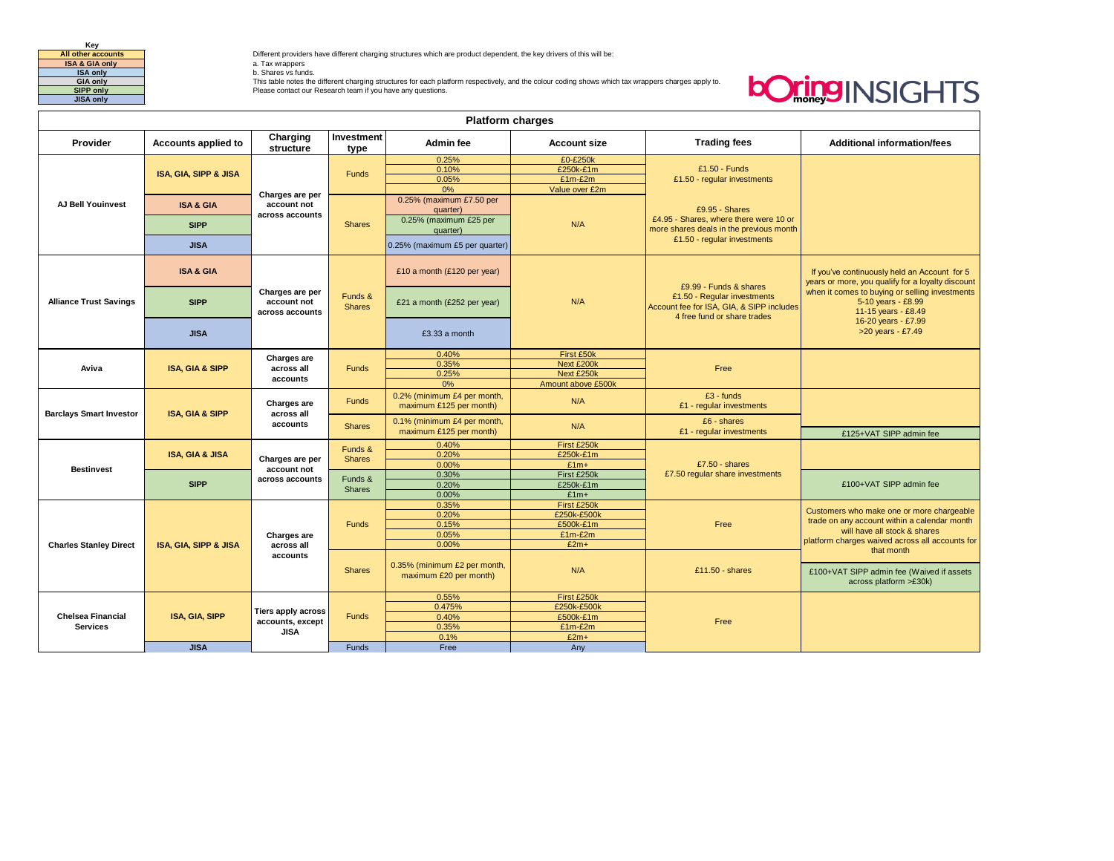

**All other accounts Different providers have different charging structures which are product dependent, the key drivers of this will be:<br><b>ISA & GIA only All only a** a. Tax wrappers

GIA only<br>Sing only the University of the different charging structures for each platform respectively, and the colour coding shows which tax wrappers charges apply to.<br>Sing only the Please contact our Research team if you

## **bOringINSIGHTS**

| <b>Platform charges</b>        |                                  |                                                              |                          |                                                        |                                  |                                                                                                                                   |                                                                                                                                         |
|--------------------------------|----------------------------------|--------------------------------------------------------------|--------------------------|--------------------------------------------------------|----------------------------------|-----------------------------------------------------------------------------------------------------------------------------------|-----------------------------------------------------------------------------------------------------------------------------------------|
| Provider                       | Accounts applied to              | Charging<br>structure                                        | Investment<br>type       | <b>Admin fee</b>                                       | <b>Account size</b>              | <b>Trading fees</b>                                                                                                               | <b>Additional information/fees</b>                                                                                                      |
|                                |                                  |                                                              |                          | 0.25%                                                  | £0-£250k                         |                                                                                                                                   |                                                                                                                                         |
|                                | <b>ISA, GIA, SIPP &amp; JISA</b> |                                                              | <b>Funds</b>             | 0.10%                                                  | £250k-£1m                        | $£1.50 - Funds$                                                                                                                   |                                                                                                                                         |
| <b>AJ Bell Youinvest</b>       |                                  | Charges are per<br>account not<br>across accounts            |                          | 0.05%                                                  | $£1m-E2m$                        | £1.50 - regular investments                                                                                                       |                                                                                                                                         |
|                                |                                  |                                                              |                          | 0%                                                     | Value over £2m                   |                                                                                                                                   |                                                                                                                                         |
|                                | <b>ISA &amp; GIA</b>             |                                                              | <b>Shares</b>            | 0.25% (maximum £7.50 per<br>quarter)                   | N/A                              | £9.95 - Shares                                                                                                                    |                                                                                                                                         |
|                                | <b>SIPP</b>                      |                                                              |                          | 0.25% (maximum £25 per<br>quarter)                     |                                  | £4.95 - Shares, where there were 10 or<br>more shares deals in the previous month                                                 |                                                                                                                                         |
|                                | <b>JISA</b>                      |                                                              |                          | 0.25% (maximum £5 per quarter)                         |                                  | £1.50 - regular investments                                                                                                       |                                                                                                                                         |
| <b>Alliance Trust Savings</b>  | <b>ISA &amp; GIA</b>             | Charges are per<br>account not<br>across accounts            | Funds &<br><b>Shares</b> | £10 a month (£120 per year)                            |                                  | £9.99 - Funds & shares<br>£1.50 - Regular investments<br>Account fee for ISA, GIA, & SIPP includes<br>4 free fund or share trades | If you've continuously held an Account for 5<br>years or more, you qualify for a loyalty discount                                       |
|                                | <b>SIPP</b>                      |                                                              |                          | £21 a month (£252 per year)                            | N/A                              |                                                                                                                                   | when it comes to buying or selling investments<br>5-10 years - £8.99<br>11-15 years - £8.49<br>16-20 years - £7.99<br>>20 years - £7.49 |
|                                | <b>JISA</b>                      |                                                              |                          | $£3.33$ a month                                        |                                  |                                                                                                                                   |                                                                                                                                         |
| Aviva                          | <b>ISA, GIA &amp; SIPP</b>       | Charges are<br>across all<br>accounts                        | <b>Funds</b>             | 0.40%                                                  | First £50k                       |                                                                                                                                   |                                                                                                                                         |
|                                |                                  |                                                              |                          | 0.35%                                                  | Next £200k                       | Free                                                                                                                              |                                                                                                                                         |
|                                |                                  |                                                              |                          | 0.25%<br>0%                                            | Next £250k<br>Amount above £500k |                                                                                                                                   |                                                                                                                                         |
|                                |                                  |                                                              |                          |                                                        |                                  |                                                                                                                                   |                                                                                                                                         |
| <b>Barclays Smart Investor</b> | <b>ISA, GIA &amp; SIPP</b>       | Charges are<br>across all<br>accounts                        | <b>Funds</b>             | 0.2% (minimum £4 per month,<br>maximum £125 per month) | N/A                              | $£3 - funds$<br>£1 - regular investments                                                                                          |                                                                                                                                         |
|                                |                                  |                                                              | <b>Shares</b>            | 0.1% (minimum £4 per month,<br>maximum £125 per month) | N/A                              | £6 - shares<br>£1 - regular investments                                                                                           | £125+VAT SIPP admin fee                                                                                                                 |
|                                | <b>ISA, GIA &amp; JISA</b>       | Charges are per<br>account not<br>across accounts            | Funds &<br><b>Shares</b> | 0.40%                                                  | First £250k                      |                                                                                                                                   |                                                                                                                                         |
|                                |                                  |                                                              |                          | 0.20%                                                  | £250k-£1m                        |                                                                                                                                   |                                                                                                                                         |
| <b>Bestinvest</b>              |                                  |                                                              |                          | 0.00%                                                  | $£1m+$                           | $£7.50 - shares$                                                                                                                  |                                                                                                                                         |
|                                | <b>SIPP</b>                      |                                                              | Funds &<br><b>Shares</b> | 0.30%                                                  | First £250k                      | £7.50 regular share investments                                                                                                   |                                                                                                                                         |
|                                |                                  |                                                              |                          | 0.20%                                                  | £250k-£1m                        |                                                                                                                                   | £100+VAT SIPP admin fee                                                                                                                 |
|                                |                                  |                                                              |                          | 0.00%                                                  | $£1m+$                           |                                                                                                                                   |                                                                                                                                         |
|                                | <b>ISA, GIA, SIPP &amp; JISA</b> | Charges are<br>across all<br>accounts                        | Funds                    | 0.35%<br>0.20%                                         | First £250k<br>£250k-£500k       |                                                                                                                                   | Customers who make one or more chargeable                                                                                               |
|                                |                                  |                                                              |                          | 0.15%                                                  | £500k-£1m                        | Free                                                                                                                              | trade on any account within a calendar month                                                                                            |
| <b>Charles Stanley Direct</b>  |                                  |                                                              |                          | 0.05%                                                  | $£1m-E2m$                        |                                                                                                                                   | will have all stock & shares                                                                                                            |
|                                |                                  |                                                              |                          | 0.00%                                                  | $£2m+$                           |                                                                                                                                   | platform charges waived across all accounts for                                                                                         |
|                                |                                  |                                                              | <b>Shares</b>            |                                                        |                                  |                                                                                                                                   | that month                                                                                                                              |
|                                |                                  |                                                              |                          | 0.35% (minimum £2 per month,<br>maximum £20 per month) | N/A                              | $£11.50 - shares$                                                                                                                 | £100+VAT SIPP admin fee (Waived if assets<br>across platform >£30k)                                                                     |
|                                | ISA, GIA, SIPP                   | <b>Tiers apply across</b><br>accounts, except<br><b>JISA</b> | <b>Funds</b>             | 0.55%                                                  | First £250k                      |                                                                                                                                   |                                                                                                                                         |
|                                |                                  |                                                              |                          | 0.475%                                                 | £250k-£500k                      |                                                                                                                                   |                                                                                                                                         |
| <b>Chelsea Financial</b>       |                                  |                                                              |                          | 0.40%                                                  | £500k-£1m                        | Free                                                                                                                              |                                                                                                                                         |
| <b>Services</b>                |                                  |                                                              |                          | 0.35%                                                  | $£1m-E2m$                        |                                                                                                                                   |                                                                                                                                         |
|                                |                                  |                                                              |                          | 0.1%                                                   | $£2m+$                           |                                                                                                                                   |                                                                                                                                         |
|                                | <b>JISA</b>                      |                                                              | <b>Funds</b>             | Free                                                   | Any                              |                                                                                                                                   |                                                                                                                                         |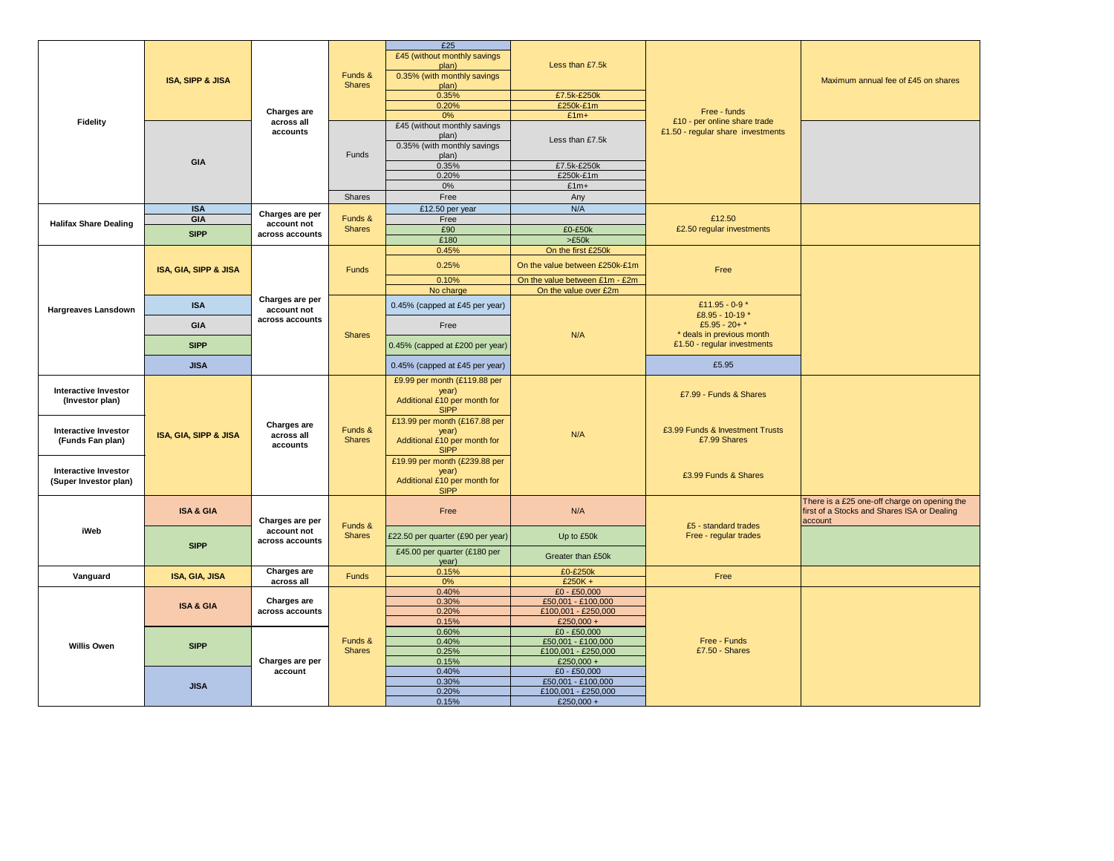| Fidelity                     | <b>ISA, SIPP &amp; JISA</b> | Charges are                                       | Funds &<br><b>Shares</b> | £25<br>£45 (without monthly savings         |                                      |                                    |                                                                                             |
|------------------------------|-----------------------------|---------------------------------------------------|--------------------------|---------------------------------------------|--------------------------------------|------------------------------------|---------------------------------------------------------------------------------------------|
|                              |                             |                                                   |                          | plan)<br>0.35% (with monthly savings        | Less than £7.5k                      |                                    |                                                                                             |
|                              |                             |                                                   |                          | plan)                                       |                                      |                                    | Maximum annual fee of £45 on shares                                                         |
|                              |                             |                                                   |                          | 0.35%                                       | £7.5k-£250k                          |                                    |                                                                                             |
|                              |                             |                                                   |                          | 0.20%<br>0%                                 | £250k-£1m<br>$£1m+$                  | Free - funds                       |                                                                                             |
|                              |                             | across all<br>accounts                            | Funds                    | £45 (without monthly savings                |                                      | £10 - per online share trade       |                                                                                             |
|                              |                             |                                                   |                          | plan)                                       | Less than £7.5k                      | £1.50 - regular share investments  |                                                                                             |
|                              | <b>GIA</b>                  |                                                   |                          | 0.35% (with monthly savings                 |                                      |                                    |                                                                                             |
|                              |                             |                                                   |                          | plan)<br>0.35%                              | £7.5k-£250k                          |                                    |                                                                                             |
|                              |                             |                                                   |                          | 0.20%                                       | £250k-£1m                            |                                    |                                                                                             |
|                              |                             |                                                   |                          | 0%                                          | $£1m+$                               |                                    |                                                                                             |
|                              |                             |                                                   | Shares                   | Free                                        | Any                                  |                                    |                                                                                             |
|                              | <b>ISA</b>                  | Charges are per                                   |                          | £12.50 per year                             | N/A                                  |                                    |                                                                                             |
| <b>Halifax Share Dealing</b> | GIA                         | account not                                       | Funds &                  | Free                                        |                                      | £12.50                             |                                                                                             |
|                              | <b>SIPP</b>                 | across accounts                                   | <b>Shares</b>            | £90                                         | £0-£50k                              | £2.50 regular investments          |                                                                                             |
|                              |                             |                                                   |                          | £180<br>0.45%                               | >£50k<br>On the first £250k          |                                    |                                                                                             |
|                              |                             |                                                   |                          |                                             |                                      |                                    |                                                                                             |
|                              | ISA, GIA, SIPP & JISA       |                                                   | Funds                    | 0.25%                                       | On the value between £250k-£1m       | Free                               |                                                                                             |
|                              |                             |                                                   |                          | 0.10%                                       | On the value between £1m - £2m       |                                    |                                                                                             |
|                              |                             |                                                   |                          | No charge                                   | On the value over £2m                |                                    |                                                                                             |
| <b>Hargreaves Lansdown</b>   | <b>ISA</b>                  | Charges are per<br>account not                    |                          | 0.45% (capped at £45 per year)              | N/A                                  | £11.95 - 0-9*                      |                                                                                             |
|                              |                             | across accounts                                   |                          |                                             |                                      | £8.95 - 10-19 *<br>£5.95 - 20+ $*$ |                                                                                             |
|                              | <b>GIA</b>                  |                                                   | <b>Shares</b>            | Free                                        |                                      | * deals in previous month          |                                                                                             |
|                              | <b>SIPP</b>                 |                                                   |                          | 0.45% (capped at £200 per year)             |                                      | £1.50 - regular investments        |                                                                                             |
|                              | <b>JISA</b>                 |                                                   |                          | 0.45% (capped at £45 per year)              |                                      | £5.95                              |                                                                                             |
|                              | ISA, GIA, SIPP & JISA       |                                                   | Funds &<br><b>Shares</b> | £9.99 per month (£119.88 per                | N/A                                  |                                    |                                                                                             |
| <b>Interactive Investor</b>  |                             |                                                   |                          | year)<br>Additional £10 per month for       |                                      | £7.99 - Funds & Shares             |                                                                                             |
| (Investor plan)              |                             |                                                   |                          | <b>SIPP</b>                                 |                                      |                                    |                                                                                             |
|                              |                             | Charges are                                       |                          | £13.99 per month (£167.88 per               |                                      |                                    |                                                                                             |
| <b>Interactive Investor</b>  |                             | across all<br>accounts                            |                          | year)                                       |                                      | £3.99 Funds & Investment Trusts    |                                                                                             |
| (Funds Fan plan)             |                             |                                                   |                          | Additional £10 per month for<br><b>SIPP</b> |                                      | £7.99 Shares                       |                                                                                             |
|                              |                             |                                                   |                          | £19.99 per month (£239.88 per               |                                      |                                    |                                                                                             |
| <b>Interactive Investor</b>  |                             |                                                   |                          | year)                                       |                                      | £3.99 Funds & Shares               |                                                                                             |
| (Super Investor plan)        |                             |                                                   |                          | Additional £10 per month for                |                                      |                                    |                                                                                             |
|                              |                             |                                                   |                          | <b>SIPP</b>                                 |                                      |                                    |                                                                                             |
|                              | <b>ISA &amp; GIA</b>        |                                                   | Funds &<br><b>Shares</b> | Free                                        | N/A                                  |                                    | There is a £25 one-off charge on opening the<br>first of a Stocks and Shares ISA or Dealing |
|                              |                             | Charges are per<br>account not<br>across accounts |                          |                                             |                                      | £5 - standard trades               | account                                                                                     |
| iWeb                         | <b>SIPP</b>                 |                                                   |                          | £22.50 per quarter (£90 per year)           | Up to £50k                           | Free - regular trades              |                                                                                             |
|                              |                             |                                                   |                          |                                             |                                      |                                    |                                                                                             |
|                              |                             |                                                   |                          |                                             |                                      |                                    |                                                                                             |
|                              |                             |                                                   |                          | £45.00 per quarter (£180 per                | Greater than £50k                    |                                    |                                                                                             |
|                              |                             | Charges are                                       |                          | year)<br>0.15%                              | £0-£250k                             |                                    |                                                                                             |
| Vanguard                     | <b>ISA, GIA, JISA</b>       | across all                                        | <b>Funds</b>             | 0%                                          | $£250K +$                            | Free                               |                                                                                             |
|                              |                             |                                                   |                          | 0.40%                                       | £0 - £50,000                         |                                    |                                                                                             |
|                              | <b>ISA &amp; GIA</b>        | Charges are                                       |                          | 0.30%                                       | £50,001 - £100,000                   |                                    |                                                                                             |
|                              |                             | across accounts                                   |                          | 0.20%<br>0.15%                              | £100,001 - £250,000<br>£250,000 +    |                                    |                                                                                             |
|                              |                             |                                                   |                          | 0.60%                                       | $£0 - £50,000$                       |                                    |                                                                                             |
| <b>Willis Owen</b>           | <b>SIPP</b>                 |                                                   | Funds &                  | 0.40%                                       | £50,001 - £100,000                   | Free - Funds                       |                                                                                             |
|                              |                             |                                                   | <b>Shares</b>            | 0.25%                                       | £100,001 - £250,000                  | £7.50 - Shares                     |                                                                                             |
|                              |                             | Charges are per<br>account                        |                          | 0.15%                                       | £250,000 +                           |                                    |                                                                                             |
|                              |                             |                                                   |                          | 0.40%<br>0.30%                              | $£0 - £50,000$<br>£50,001 - £100,000 |                                    |                                                                                             |
|                              | <b>JISA</b>                 |                                                   |                          | 0.20%<br>0.15%                              | £100,001 - £250,000<br>£250,000 +    |                                    |                                                                                             |